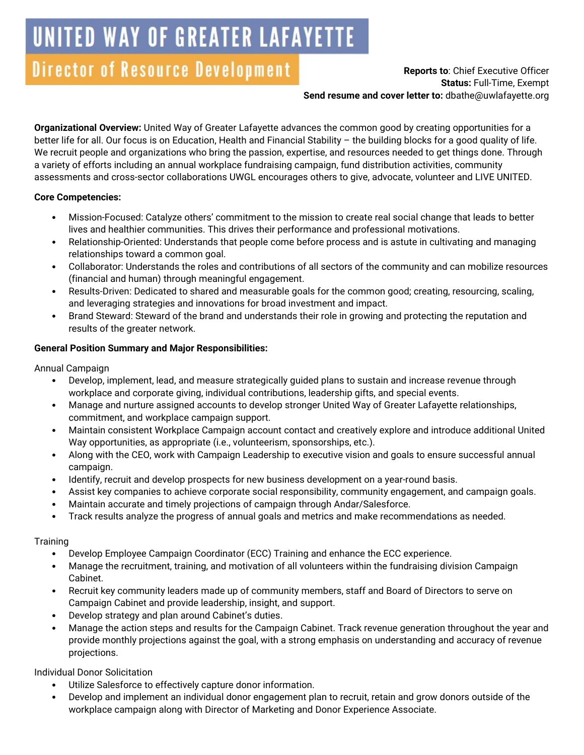# UNITED WAY OF GREATER LAFAYETTE

# Director of Resource Development

### **Reports to**: Chief Executive Officer **Status:** Full-Time, Exempt **Send resume and cover letter to:** dbathe@uwlafayette.org

**Organizational Overview:** United Way of Greater Lafayette advances the common good by creating opportunities for a better life for all. Our focus is on Education, Health and Financial Stability – the building blocks for a good quality of life. We recruit people and organizations who bring the passion, expertise, and resources needed to get things done. Through a variety of efforts including an annual workplace fundraising campaign, fund distribution activities, community assessments and cross-sector collaborations UWGL encourages others to give, advocate, volunteer and LIVE UNITED.

## **Core Competencies:**

- Mission-Focused: Catalyze others' commitment to the mission to create real social change that leads to better lives and healthier communities. This drives their performance and professional motivations.
- Relationship-Oriented: Understands that people come before process and is astute in cultivating and managing relationships toward a common goal.
- Collaborator: Understands the roles and contributions of all sectors of the community and can mobilize resources (financial and human) through meaningful engagement.
- Results-Driven: Dedicated to shared and measurable goals for the common good; creating, resourcing, scaling, and leveraging strategies and innovations for broad investment and impact.
- Brand Steward: Steward of the brand and understands their role in growing and protecting the reputation and results of the greater network.

# **General Position Summary and Major Responsibilities:**

Annual Campaign

- Develop, implement, lead, and measure strategically guided plans to sustain and increase revenue through workplace and corporate giving, individual contributions, leadership gifts, and special events.
- Manage and nurture assigned accounts to develop stronger United Way of Greater Lafayette relationships, commitment, and workplace campaign support.
- Maintain consistent Workplace Campaign account contact and creatively explore and introduce additional United Way opportunities, as appropriate (i.e., volunteerism, sponsorships, etc.).
- Along with the CEO, work with Campaign Leadership to executive vision and goals to ensure successful annual campaign.
- Identify, recruit and develop prospects for new business development on a year-round basis.
- Assist key companies to achieve corporate social responsibility, community engagement, and campaign goals.
- Maintain accurate and timely projections of campaign through Andar/Salesforce.
- Track results analyze the progress of annual goals and metrics and make recommendations as needed.

# **Training**

- Develop Employee Campaign Coordinator (ECC) Training and enhance the ECC experience.
- Manage the recruitment, training, and motivation of all volunteers within the fundraising division Campaign Cabinet.
- Recruit key community leaders made up of community members, staff and Board of Directors to serve on Campaign Cabinet and provide leadership, insight, and support.
- Develop strategy and plan around Cabinet's duties.
- Manage the action steps and results for the Campaign Cabinet. Track revenue generation throughout the year and provide monthly projections against the goal, with a strong emphasis on understanding and accuracy of revenue projections.

Individual Donor Solicitation

- Utilize Salesforce to effectively capture donor information.
- Develop and implement an individual donor engagement plan to recruit, retain and grow donors outside of the workplace campaign along with Director of Marketing and Donor Experience Associate.